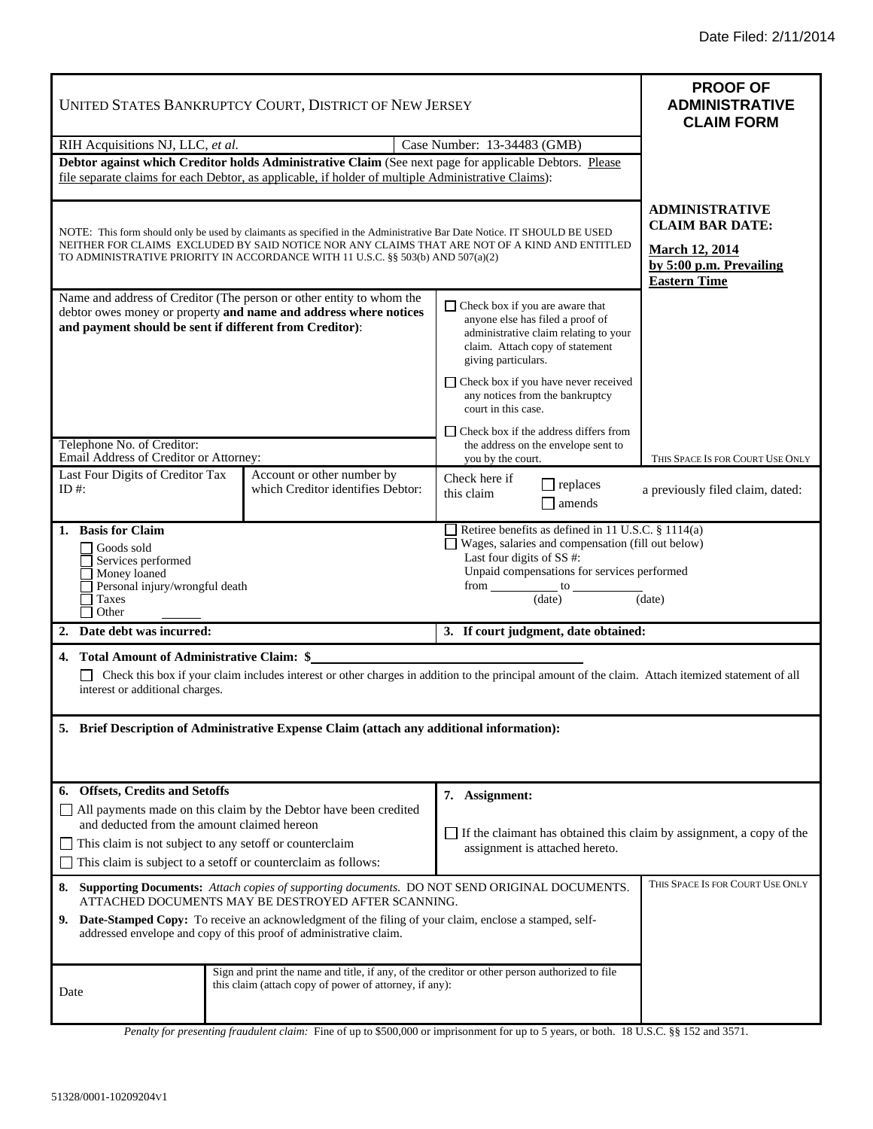ī

ī

| UNITED STATES BANKRUPTCY COURT, DISTRICT OF NEW JERSEY                                                                                                                                                                                                                                                                                                                          |                                                                                                                                                         |                                                                                                                                                                                                                                    | <b>PROOF OF</b><br><b>ADMINISTRATIVE</b><br><b>CLAIM FORM</b>                                                              |
|---------------------------------------------------------------------------------------------------------------------------------------------------------------------------------------------------------------------------------------------------------------------------------------------------------------------------------------------------------------------------------|---------------------------------------------------------------------------------------------------------------------------------------------------------|------------------------------------------------------------------------------------------------------------------------------------------------------------------------------------------------------------------------------------|----------------------------------------------------------------------------------------------------------------------------|
| RIH Acquisitions NJ, LLC, et al.                                                                                                                                                                                                                                                                                                                                                |                                                                                                                                                         | Case Number: 13-34483 (GMB)                                                                                                                                                                                                        |                                                                                                                            |
| Debtor against which Creditor holds Administrative Claim (See next page for applicable Debtors. Please<br>file separate claims for each Debtor, as applicable, if holder of multiple Administrative Claims):                                                                                                                                                                    |                                                                                                                                                         |                                                                                                                                                                                                                                    |                                                                                                                            |
| NOTE: This form should only be used by claimants as specified in the Administrative Bar Date Notice. IT SHOULD BE USED<br>NEITHER FOR CLAIMS EXCLUDED BY SAID NOTICE NOR ANY CLAIMS THAT ARE NOT OF A KIND AND ENTITLED<br>TO ADMINISTRATIVE PRIORITY IN ACCORDANCE WITH 11 U.S.C. §§ 503(b) AND 507(a)(2)                                                                      |                                                                                                                                                         |                                                                                                                                                                                                                                    | <b>ADMINISTRATIVE</b><br><b>CLAIM BAR DATE:</b><br><b>March 12, 2014</b><br>by 5:00 p.m. Prevailing<br><b>Eastern Time</b> |
| Name and address of Creditor (The person or other entity to whom the<br>debtor owes money or property and name and address where notices<br>and payment should be sent if different from Creditor):                                                                                                                                                                             |                                                                                                                                                         | $\Box$ Check box if you are aware that<br>anyone else has filed a proof of<br>administrative claim relating to your<br>claim. Attach copy of statement<br>giving particulars.                                                      |                                                                                                                            |
|                                                                                                                                                                                                                                                                                                                                                                                 |                                                                                                                                                         | □ Check box if you have never received<br>any notices from the bankruptcy<br>court in this case.                                                                                                                                   |                                                                                                                            |
| Telephone No. of Creditor:<br>Email Address of Creditor or Attorney:                                                                                                                                                                                                                                                                                                            |                                                                                                                                                         | $\Box$ Check box if the address differs from<br>the address on the envelope sent to<br>you by the court.                                                                                                                           | THIS SPACE IS FOR COURT USE ONLY                                                                                           |
| Last Four Digits of Creditor Tax<br>ID #:                                                                                                                                                                                                                                                                                                                                       | Account or other number by<br>which Creditor identifies Debtor:                                                                                         | Check here if<br>$\Box$ replaces<br>this claim<br>amends                                                                                                                                                                           | a previously filed claim, dated:                                                                                           |
| 1. Basis for Claim<br>Goods sold<br>Services performed<br>Money loaned<br>Personal injury/wrongful death<br>Taxes<br>Other                                                                                                                                                                                                                                                      |                                                                                                                                                         | Retiree benefits as defined in 11 U.S.C. § 1114(a)<br>□ Wages, salaries and compensation (fill out below)<br>Last four digits of SS #:<br>Unpaid compensations for services performed<br>$from \_\_to to \_\_$<br>(date)<br>(date) |                                                                                                                            |
| 2. Date debt was incurred:                                                                                                                                                                                                                                                                                                                                                      |                                                                                                                                                         | 3. If court judgment, date obtained:                                                                                                                                                                                               |                                                                                                                            |
| 4. Total Amount of Administrative Claim: \$_<br>Check this box if your claim includes interest or other charges in addition to the principal amount of the claim. Attach itemized statement of all<br>interest or additional charges.<br>5. Brief Description of Administrative Expense Claim (attach any additional information):                                              |                                                                                                                                                         |                                                                                                                                                                                                                                    |                                                                                                                            |
| <b>Offsets, Credits and Setoffs</b><br>6.                                                                                                                                                                                                                                                                                                                                       |                                                                                                                                                         |                                                                                                                                                                                                                                    |                                                                                                                            |
| $\Box$ All payments made on this claim by the Debtor have been credited<br>and deducted from the amount claimed hereon<br>$\Box$ This claim is not subject to any set of f or counterclaim<br>This claim is subject to a set off or counterclaim as follows:                                                                                                                    |                                                                                                                                                         | 7. Assignment:<br>$\Box$ If the claimant has obtained this claim by assignment, a copy of the<br>assignment is attached hereto.                                                                                                    |                                                                                                                            |
| THIS SPACE IS FOR COURT USE ONLY<br>Supporting Documents: Attach copies of supporting documents. DO NOT SEND ORIGINAL DOCUMENTS.<br>8.<br>ATTACHED DOCUMENTS MAY BE DESTROYED AFTER SCANNING.<br>9. Date-Stamped Copy: To receive an acknowledgment of the filing of your claim, enclose a stamped, self-<br>addressed envelope and copy of this proof of administrative claim. |                                                                                                                                                         |                                                                                                                                                                                                                                    |                                                                                                                            |
| Date                                                                                                                                                                                                                                                                                                                                                                            | Sign and print the name and title, if any, of the creditor or other person authorized to file<br>this claim (attach copy of power of attorney, if any): |                                                                                                                                                                                                                                    |                                                                                                                            |

*Penalty for presenting fraudulent claim:* Fine of up to \$500,000 or imprisonment for up to 5 years, or both. 18 U.S.C. §§ 152 and 3571.

 $\overline{\phantom{a}}$